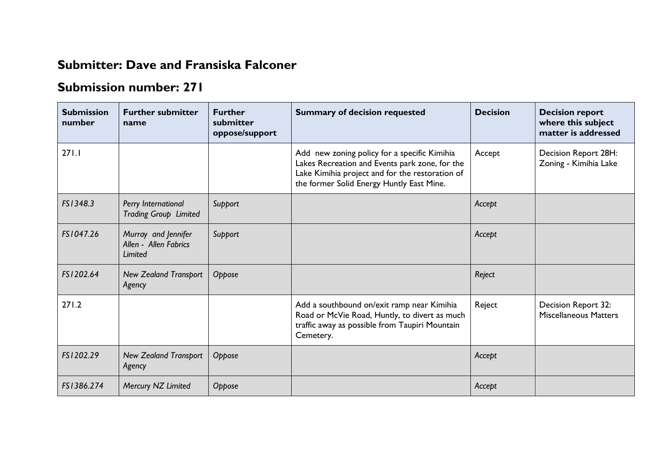## **Submitter: Dave and Fransiska Falconer**

## **Submission number: 271**

| <b>Submission</b><br>number | <b>Further submitter</b><br>name                        | <b>Further</b><br>submitter<br>oppose/support | <b>Summary of decision requested</b>                                                                                                                                                           | <b>Decision</b> | <b>Decision report</b><br>where this subject<br>matter is addressed |
|-----------------------------|---------------------------------------------------------|-----------------------------------------------|------------------------------------------------------------------------------------------------------------------------------------------------------------------------------------------------|-----------------|---------------------------------------------------------------------|
| 271.1                       |                                                         |                                               | Add new zoning policy for a specific Kimihia<br>Lakes Recreation and Events park zone, for the<br>Lake Kimihia project and for the restoration of<br>the former Solid Energy Huntly East Mine. | Accept          | Decision Report 28H:<br>Zoning - Kimihia Lake                       |
| FS1348.3                    | Perry International<br><b>Trading Group Limited</b>     | Support                                       |                                                                                                                                                                                                | Accept          |                                                                     |
| FS1047.26                   | Murray and Jennifer<br>Allen - Allen Fabrics<br>Limited | Support                                       |                                                                                                                                                                                                | Accept          |                                                                     |
| FS1202.64                   | <b>New Zealand Transport</b><br>Agency                  | Oppose                                        |                                                                                                                                                                                                | Reject          |                                                                     |
| 271.2                       |                                                         |                                               | Add a southbound on/exit ramp near Kimihia<br>Road or McVie Road, Huntly, to divert as much<br>traffic away as possible from Taupiri Mountain<br>Cemetery.                                     | Reject          | Decision Report 32:<br><b>Miscellaneous Matters</b>                 |
| FS1202.29                   | <b>New Zealand Transport</b><br>Agency                  | Oppose                                        |                                                                                                                                                                                                | Accept          |                                                                     |
| FS1386.274                  | Mercury NZ Limited                                      | Oppose                                        |                                                                                                                                                                                                | Accept          |                                                                     |